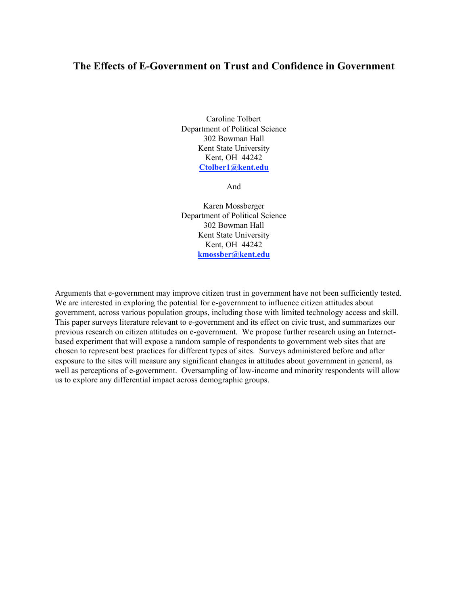# **The Effects of E-Government on Trust and Confidence in Government**

Caroline Tolbert Department of Political Science 302 Bowman Hall Kent State University Kent, OH 44242 **Ctolber1@kent.edu**

And

Karen Mossberger Department of Political Science 302 Bowman Hall Kent State University Kent, OH 44242 **kmossber@kent.edu**

Arguments that e-government may improve citizen trust in government have not been sufficiently tested. We are interested in exploring the potential for e-government to influence citizen attitudes about government, across various population groups, including those with limited technology access and skill. This paper surveys literature relevant to e-government and its effect on civic trust, and summarizes our previous research on citizen attitudes on e-government. We propose further research using an Internetbased experiment that will expose a random sample of respondents to government web sites that are chosen to represent best practices for different types of sites. Surveys administered before and after exposure to the sites will measure any significant changes in attitudes about government in general, as well as perceptions of e-government. Oversampling of low-income and minority respondents will allow us to explore any differential impact across demographic groups.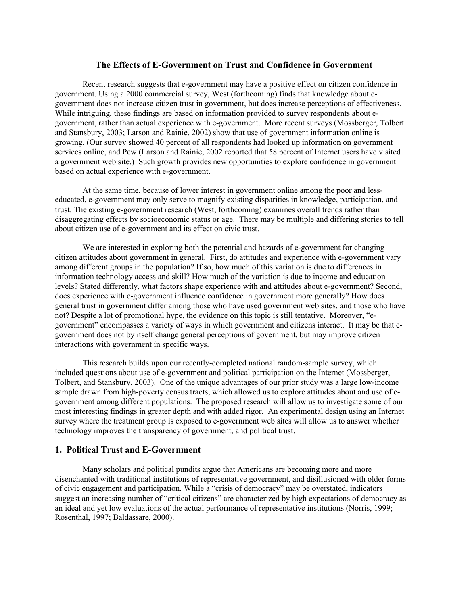# **The Effects of E-Government on Trust and Confidence in Government**

Recent research suggests that e-government may have a positive effect on citizen confidence in government. Using a 2000 commercial survey, West (forthcoming) finds that knowledge about egovernment does not increase citizen trust in government, but does increase perceptions of effectiveness. While intriguing, these findings are based on information provided to survey respondents about egovernment, rather than actual experience with e-government. More recent surveys (Mossberger, Tolbert and Stansbury, 2003; Larson and Rainie, 2002) show that use of government information online is growing. (Our survey showed 40 percent of all respondents had looked up information on government services online, and Pew (Larson and Rainie, 2002 reported that 58 percent of Internet users have visited a government web site.) Such growth provides new opportunities to explore confidence in government based on actual experience with e-government.

At the same time, because of lower interest in government online among the poor and lesseducated, e-government may only serve to magnify existing disparities in knowledge, participation, and trust. The existing e-government research (West, forthcoming) examines overall trends rather than disaggregating effects by socioeconomic status or age. There may be multiple and differing stories to tell about citizen use of e-government and its effect on civic trust.

We are interested in exploring both the potential and hazards of e-government for changing citizen attitudes about government in general. First, do attitudes and experience with e-government vary among different groups in the population? If so, how much of this variation is due to differences in information technology access and skill? How much of the variation is due to income and education levels? Stated differently, what factors shape experience with and attitudes about e-government? Second, does experience with e-government influence confidence in government more generally? How does general trust in government differ among those who have used government web sites, and those who have not? Despite a lot of promotional hype, the evidence on this topic is still tentative. Moreover, "egovernment" encompasses a variety of ways in which government and citizens interact. It may be that egovernment does not by itself change general perceptions of government, but may improve citizen interactions with government in specific ways.

This research builds upon our recently-completed national random-sample survey, which included questions about use of e-government and political participation on the Internet (Mossberger, Tolbert, and Stansbury, 2003). One of the unique advantages of our prior study was a large low-income sample drawn from high-poverty census tracts, which allowed us to explore attitudes about and use of egovernment among different populations. The proposed research will allow us to investigate some of our most interesting findings in greater depth and with added rigor. An experimental design using an Internet survey where the treatment group is exposed to e-government web sites will allow us to answer whether technology improves the transparency of government, and political trust.

# **1. Political Trust and E-Government**

Many scholars and political pundits argue that Americans are becoming more and more disenchanted with traditional institutions of representative government, and disillusioned with older forms of civic engagement and participation. While a "crisis of democracy" may be overstated, indicators suggest an increasing number of "critical citizens" are characterized by high expectations of democracy as an ideal and yet low evaluations of the actual performance of representative institutions (Norris, 1999; Rosenthal, 1997; Baldassare, 2000).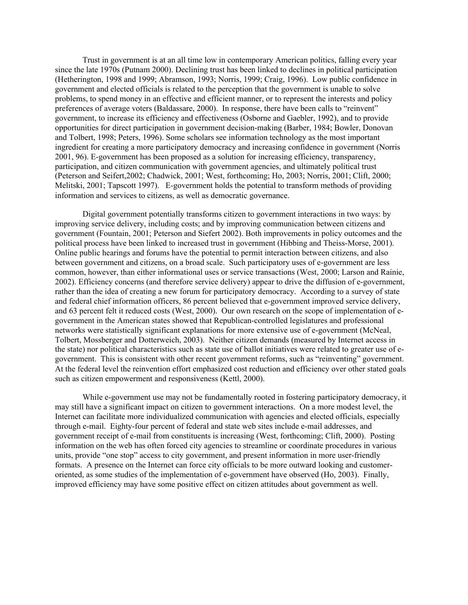Trust in government is at an all time low in contemporary American politics, falling every year since the late 1970s (Putnam 2000). Declining trust has been linked to declines in political participation (Hetherington, 1998 and 1999; Abramson, 1993; Norris, 1999; Craig, 1996). Low public confidence in government and elected officials is related to the perception that the government is unable to solve problems, to spend money in an effective and efficient manner, or to represent the interests and policy preferences of average voters (Baldassare, 2000). In response, there have been calls to "reinvent" government, to increase its efficiency and effectiveness (Osborne and Gaebler, 1992), and to provide opportunities for direct participation in government decision-making (Barber, 1984; Bowler, Donovan and Tolbert, 1998; Peters, 1996). Some scholars see information technology as the most important ingredient for creating a more participatory democracy and increasing confidence in government (Norris 2001, 96). E-government has been proposed as a solution for increasing efficiency, transparency, participation, and citizen communication with government agencies, and ultimately political trust (Peterson and Seifert,2002; Chadwick, 2001; West, forthcoming; Ho, 2003; Norris, 2001; Clift, 2000; Melitski, 2001; Tapscott 1997). E-government holds the potential to transform methods of providing information and services to citizens, as well as democratic governance.

Digital government potentially transforms citizen to government interactions in two ways: by improving service delivery, including costs; and by improving communication between citizens and government (Fountain, 2001; Peterson and Siefert 2002). Both improvements in policy outcomes and the political process have been linked to increased trust in government (Hibbing and Theiss-Morse, 2001). Online public hearings and forums have the potential to permit interaction between citizens, and also between government and citizens, on a broad scale. Such participatory uses of e-government are less common, however, than either informational uses or service transactions (West, 2000; Larson and Rainie, 2002). Efficiency concerns (and therefore service delivery) appear to drive the diffusion of e-government, rather than the idea of creating a new forum for participatory democracy. According to a survey of state and federal chief information officers, 86 percent believed that e-government improved service delivery, and 63 percent felt it reduced costs (West, 2000). Our own research on the scope of implementation of egovernment in the American states showed that Republican-controlled legislatures and professional networks were statistically significant explanations for more extensive use of e-government (McNeal, Tolbert, Mossberger and Dotterweich, 2003). Neither citizen demands (measured by Internet access in the state) nor political characteristics such as state use of ballot initiatives were related to greater use of egovernment. This is consistent with other recent government reforms, such as "reinventing" government. At the federal level the reinvention effort emphasized cost reduction and efficiency over other stated goals such as citizen empowerment and responsiveness (Kettl, 2000).

While e-government use may not be fundamentally rooted in fostering participatory democracy, it may still have a significant impact on citizen to government interactions. On a more modest level, the Internet can facilitate more individualized communication with agencies and elected officials, especially through e-mail. Eighty-four percent of federal and state web sites include e-mail addresses, and government receipt of e-mail from constituents is increasing (West, forthcoming; Clift, 2000). Posting information on the web has often forced city agencies to streamline or coordinate procedures in various units, provide "one stop" access to city government, and present information in more user-friendly formats. A presence on the Internet can force city officials to be more outward looking and customeroriented, as some studies of the implementation of e-government have observed (Ho, 2003). Finally, improved efficiency may have some positive effect on citizen attitudes about government as well.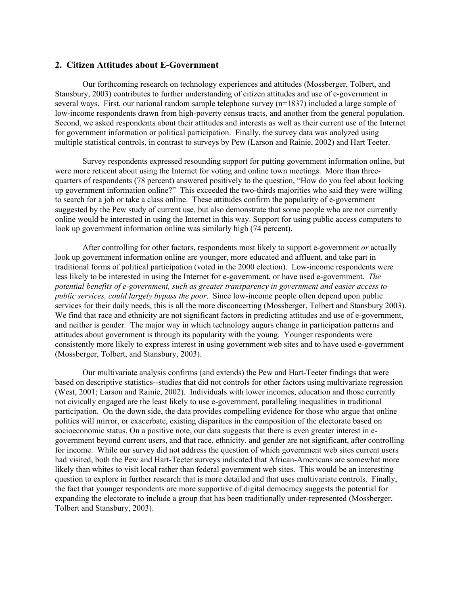#### **2. Citizen Attitudes about E-Government**

Our forthcoming research on technology experiences and attitudes (Mossberger, Tolbert, and Stansbury, 2003) contributes to further understanding of citizen attitudes and use of e-government in several ways. First, our national random sample telephone survey (n=1837) included a large sample of low-income respondents drawn from high-poverty census tracts, and another from the general population. Second, we asked respondents about their attitudes and interests as well as their current use of the Internet for government information or political participation. Finally, the survey data was analyzed using multiple statistical controls, in contrast to surveys by Pew (Larson and Rainie, 2002) and Hart Teeter.

Survey respondents expressed resounding support for putting government information online, but were more reticent about using the Internet for voting and online town meetings. More than threequarters of respondents (78 percent) answered positively to the question, "How do you feel about looking up government information online?" This exceeded the two-thirds majorities who said they were willing to search for a job or take a class online. These attitudes confirm the popularity of e-government suggested by the Pew study of current use, but also demonstrate that some people who are not currently online would be interested in using the Internet in this way. Support for using public access computers to look up government information online was similarly high (74 percent).

After controlling for other factors, respondents most likely to support e-government *or* actually look up government information online are younger, more educated and affluent, and take part in traditional forms of political participation (voted in the 2000 election). Low-income respondents were less likely to be interested in using the Internet for e-government, or have used e-government. *The potential benefits of e-government, such as greater transparency in government and easier access to public services, could largely bypass the poor*. Since low-income people often depend upon public services for their daily needs, this is all the more disconcerting (Mossberger, Tolbert and Stansbury 2003). We find that race and ethnicity are not significant factors in predicting attitudes and use of e-government, and neither is gender. The major way in which technology augurs change in participation patterns and attitudes about government is through its popularity with the young. Younger respondents were consistently more likely to express interest in using government web sites and to have used e-government (Mossberger, Tolbert, and Stansbury, 2003).

Our multivariate analysis confirms (and extends) the Pew and Hart-Teeter findings that were based on descriptive statistics--studies that did not controls for other factors using multivariate regression (West, 2001; Larson and Rainie, 2002). Individuals with lower incomes, education and those currently not civically engaged are the least likely to use e-government, paralleling inequalities in traditional participation. On the down side, the data provides compelling evidence for those who argue that online politics will mirror, or exacerbate, existing disparities in the composition of the electorate based on socioeconomic status. On a positive note, our data suggests that there is even greater interest in egovernment beyond current users, and that race, ethnicity, and gender are not significant, after controlling for income. While our survey did not address the question of which government web sites current users had visited, both the Pew and Hart-Teeter surveys indicated that African-Americans are somewhat more likely than whites to visit local rather than federal government web sites. This would be an interesting question to explore in further research that is more detailed and that uses multivariate controls. Finally, the fact that younger respondents are more supportive of digital democracy suggests the potential for expanding the electorate to include a group that has been traditionally under-represented (Mossberger, Tolbert and Stansbury, 2003).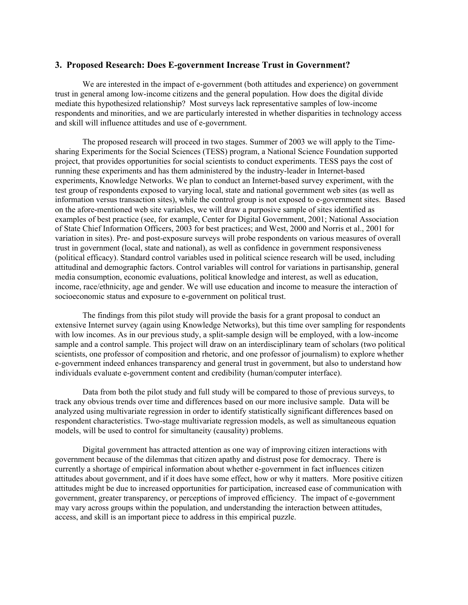## **3. Proposed Research: Does E-government Increase Trust in Government?**

We are interested in the impact of e-government (both attitudes and experience) on government trust in general among low-income citizens and the general population. How does the digital divide mediate this hypothesized relationship? Most surveys lack representative samples of low-income respondents and minorities, and we are particularly interested in whether disparities in technology access and skill will influence attitudes and use of e-government.

The proposed research will proceed in two stages. Summer of 2003 we will apply to the Timesharing Experiments for the Social Sciences (TESS) program, a National Science Foundation supported project, that provides opportunities for social scientists to conduct experiments. TESS pays the cost of running these experiments and has them administered by the industry-leader in Internet-based experiments, Knowledge Networks. We plan to conduct an Internet-based survey experiment, with the test group of respondents exposed to varying local, state and national government web sites (as well as information versus transaction sites), while the control group is not exposed to e-government sites. Based on the afore-mentioned web site variables, we will draw a purposive sample of sites identified as examples of best practice (see, for example, Center for Digital Government, 2001; National Association of State Chief Information Officers, 2003 for best practices; and West, 2000 and Norris et al., 2001 for variation in sites). Pre- and post-exposure surveys will probe respondents on various measures of overall trust in government (local, state and national), as well as confidence in government responsiveness (political efficacy). Standard control variables used in political science research will be used, including attitudinal and demographic factors. Control variables will control for variations in partisanship, general media consumption, economic evaluations, political knowledge and interest, as well as education, income, race/ethnicity, age and gender. We will use education and income to measure the interaction of socioeconomic status and exposure to e-government on political trust.

The findings from this pilot study will provide the basis for a grant proposal to conduct an extensive Internet survey (again using Knowledge Networks), but this time over sampling for respondents with low incomes. As in our previous study, a split-sample design will be employed, with a low-income sample and a control sample. This project will draw on an interdisciplinary team of scholars (two political scientists, one professor of composition and rhetoric, and one professor of journalism) to explore whether e-government indeed enhances transparency and general trust in government, but also to understand how individuals evaluate e-government content and credibility (human/computer interface).

Data from both the pilot study and full study will be compared to those of previous surveys, to track any obvious trends over time and differences based on our more inclusive sample. Data will be analyzed using multivariate regression in order to identify statistically significant differences based on respondent characteristics. Two-stage multivariate regression models, as well as simultaneous equation models, will be used to control for simultaneity (causality) problems.

Digital government has attracted attention as one way of improving citizen interactions with government because of the dilemmas that citizen apathy and distrust pose for democracy. There is currently a shortage of empirical information about whether e-government in fact influences citizen attitudes about government, and if it does have some effect, how or why it matters. More positive citizen attitudes might be due to increased opportunities for participation, increased ease of communication with government, greater transparency, or perceptions of improved efficiency. The impact of e-government may vary across groups within the population, and understanding the interaction between attitudes, access, and skill is an important piece to address in this empirical puzzle.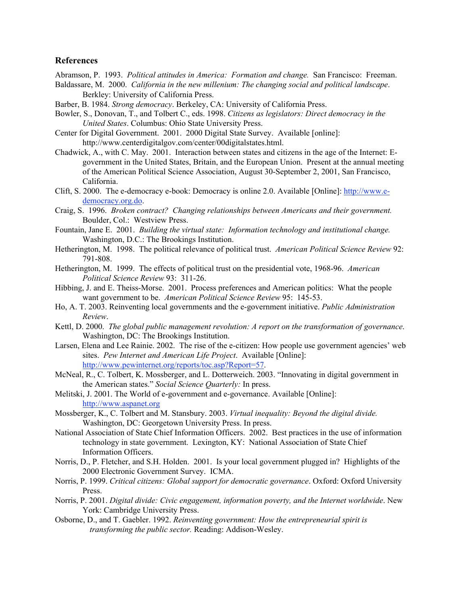# **References**

Abramson, P. 1993. *Political attitudes in America: Formation and change.* San Francisco: Freeman.

- Baldassare, M. 2000. *California in the new millenium: The changing social and political landscape*. Berkley: University of California Press.
- Barber, B. 1984. *Strong democracy*. Berkeley, CA: University of California Press.
- Bowler, S., Donovan, T., and Tolbert C., eds. 1998. *Citizens as legislators: Direct democracy in the United States*. Columbus: Ohio State University Press.
- Center for Digital Government. 2001. 2000 Digital State Survey. Available [online]: http://www.centerdigitalgov.com/center/00digitalstates.html.
- Chadwick, A., with C. May. 2001. Interaction between states and citizens in the age of the Internet: Egovernment in the United States, Britain, and the European Union. Present at the annual meeting of the American Political Science Association, August 30-September 2, 2001, San Francisco, California.
- Clift, S. 2000. The e-democracy e-book: Democracy is online 2.0. Available [Online]: http://www.edemocracy.org.do.
- Craig, S. 1996. *Broken contract? Changing relationships between Americans and their government.* Boulder, Col.: Westview Press.
- Fountain, Jane E. 2001. *Building the virtual state: Information technology and institutional change.* Washington, D.C.: The Brookings Institution.
- Hetherington, M. 1998. The political relevance of political trust. *American Political Science Review* 92: 791-808.
- Hetherington, M. 1999. The effects of political trust on the presidential vote, 1968-96. *American Political Science Review* 93: 311-26.
- Hibbing, J. and E. Theiss-Morse. 2001. Process preferences and American politics: What the people want government to be. *American Political Science Review* 95: 145-53.
- Ho, A. T. 2003. Reinventing local governments and the e-government initiative. *Public Administration Review*.
- Kettl, D. 2000. *The global public management revolution: A report on the transformation of governance*. Washington, DC: The Brookings Institution.
- Larsen, Elena and Lee Rainie. 2002. The rise of the e-citizen: How people use government agencies' web sites. *Pew Internet and American Life Project*. Available [Online]: http://www.pewinternet.org/reports/toc.asp?Report=57.
- McNeal, R., C. Tolbert, K. Mossberger, and L. Dotterweich. 2003. "Innovating in digital government in the American states." *Social Science Quarterly:* In press.
- Melitski, J. 2001. The World of e-government and e-governance. Available [Online]: http://www.aspanet.org
- Mossberger, K., C. Tolbert and M. Stansbury. 2003. *Virtual inequality: Beyond the digital divide.* Washington, DC: Georgetown University Press. In press.
- National Association of State Chief Information Officers. 2002. Best practices in the use of information technology in state government. Lexington, KY: National Association of State Chief Information Officers.
- Norris, D., P. Fletcher, and S.H. Holden. 2001. Is your local government plugged in? Highlights of the 2000 Electronic Government Survey. ICMA.
- Norris, P. 1999. *Critical citizens: Global support for democratic governance*. Oxford: Oxford University Press.
- Norris, P. 2001. *Digital divide: Civic engagement, information poverty, and the Internet worldwide*. New York: Cambridge University Press.
- Osborne, D., and T. Gaebler. 1992. *Reinventing government: How the entrepreneurial spirit is transforming the public sector.* Reading: Addison-Wesley.